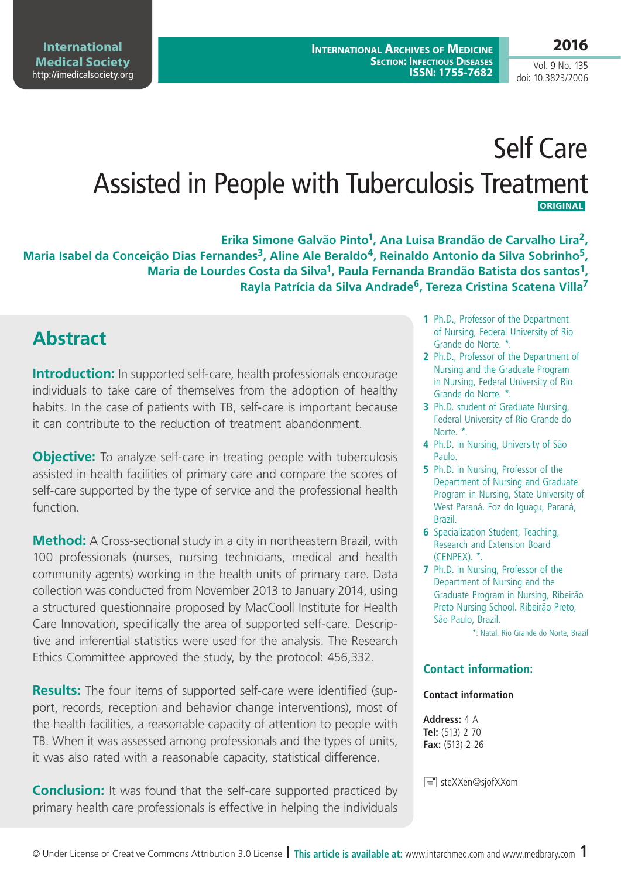# Self Care Assisted in People with Tuberculosis Treatment  **ORIGINAL**

**Erika Simone Galvão Pinto1, Ana Luisa Brandão de Carvalho Lira2, Maria Isabel da Conceição Dias Fernandes3, Aline Ale Beraldo4, Reinaldo Antonio da Silva Sobrinho5, Maria de Lourdes Costa da Silva1, Paula Fernanda Brandão Batista dos santos1, Rayla Patrícia da Silva Andrade6, Tereza Cristina Scatena Villa7**

## **Abstract**

**Introduction:** In supported self-care, health professionals encourage individuals to take care of themselves from the adoption of healthy habits. In the case of patients with TB, self-care is important because it can contribute to the reduction of treatment abandonment.

**Objective:** To analyze self-care in treating people with tuberculosis assisted in health facilities of primary care and compare the scores of self-care supported by the type of service and the professional health function.

**Method:** A Cross-sectional study in a city in northeastern Brazil, with 100 professionals (nurses, nursing technicians, medical and health community agents) working in the health units of primary care. Data collection was conducted from November 2013 to January 2014, using a structured questionnaire proposed by MacCooll Institute for Health Care Innovation, specifically the area of supported self-care. Descriptive and inferential statistics were used for the analysis. The Research Ethics Committee approved the study, by the protocol: 456,332.

**Results:** The four items of supported self-care were identified (support, records, reception and behavior change interventions), most of the health facilities, a reasonable capacity of attention to people with TB. When it was assessed among professionals and the types of units, it was also rated with a reasonable capacity, statistical difference.

**Conclusion:** It was found that the self-care supported practiced by primary health care professionals is effective in helping the individuals

- **1** Ph.D., Professor of the Department of Nursing, Federal University of Rio Grande do Norte. \*.
- **2** Ph.D., Professor of the Department of Nursing and the Graduate Program in Nursing, Federal University of Rio Grande do Norte. \*.
- **3** Ph.D. student of Graduate Nursing, Federal University of Rio Grande do Norte. \*.
- **4** Ph.D. in Nursing, University of São Paulo.
- **5** Ph.D. in Nursing, Professor of the Department of Nursing and Graduate Program in Nursing, State University of West Paraná. Foz do Iguaçu, Paraná, Brazil.
- **6** Specialization Student, Teaching, Research and Extension Board (CENPEX). \*.
- **7** Ph.D. in Nursing, Professor of the Department of Nursing and the Graduate Program in Nursing, Ribeirão Preto Nursing School. Ribeirão Preto, São Paulo, Brazil.

\*: Natal, Rio Grande do Norte, Brazil

#### **Contact information:**

#### **Contact information**

**Address:** 4 A **Tel:** (513) 2 70 **Fax:** (513) 2 26

steXXen@sjofXXom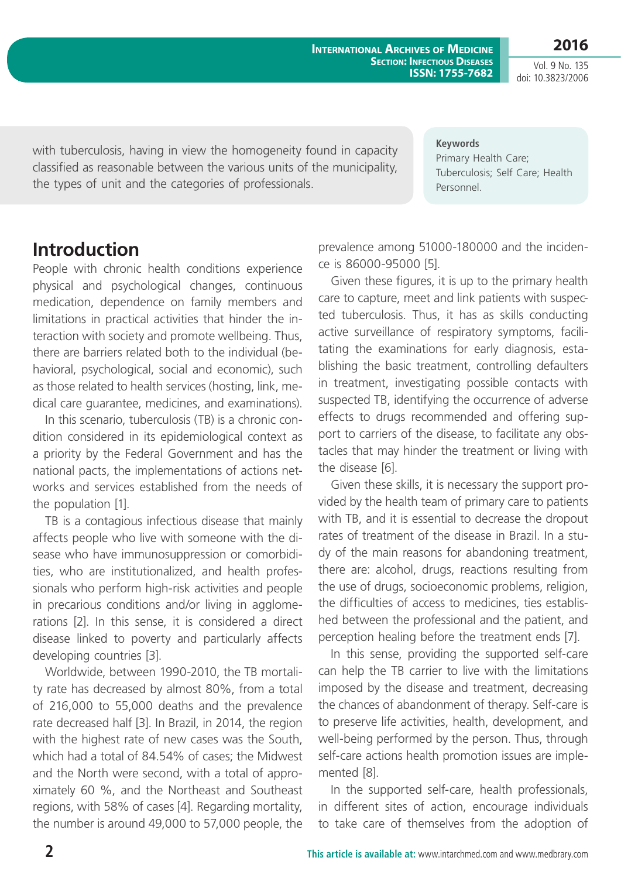**International Archives of Medicine Section: Infectious Diseases ISSN: 1755-7682**

Vol. 9 No. 135 doi: 10.3823/2006

**2016**

with tuberculosis, having in view the homogeneity found in capacity classified as reasonable between the various units of the municipality, the types of unit and the categories of professionals.

**Keywords** Primary Health Care; Tuberculosis; Self Care; Health Personnel.

### **Introduction**

People with chronic health conditions experience physical and psychological changes, continuous medication, dependence on family members and limitations in practical activities that hinder the interaction with society and promote wellbeing. Thus, there are barriers related both to the individual (behavioral, psychological, social and economic), such as those related to health services (hosting, link, medical care guarantee, medicines, and examinations).

In this scenario, tuberculosis (TB) is a chronic condition considered in its epidemiological context as a priority by the Federal Government and has the national pacts, the implementations of actions networks and services established from the needs of the population [1].

TB is a contagious infectious disease that mainly affects people who live with someone with the disease who have immunosuppression or comorbidities, who are institutionalized, and health professionals who perform high-risk activities and people in precarious conditions and/or living in agglomerations [2]. In this sense, it is considered a direct disease linked to poverty and particularly affects developing countries [3].

Worldwide, between 1990-2010, the TB mortality rate has decreased by almost 80%, from a total of 216,000 to 55,000 deaths and the prevalence rate decreased half [3]. In Brazil, in 2014, the region with the highest rate of new cases was the South, which had a total of 84.54% of cases; the Midwest and the North were second, with a total of approximately 60 %, and the Northeast and Southeast regions, with 58% of cases [4]. Regarding mortality, the number is around 49,000 to 57,000 people, the prevalence among 51000-180000 and the incidence is 86000-95000 [5].

Given these figures, it is up to the primary health care to capture, meet and link patients with suspected tuberculosis. Thus, it has as skills conducting active surveillance of respiratory symptoms, facilitating the examinations for early diagnosis, establishing the basic treatment, controlling defaulters in treatment, investigating possible contacts with suspected TB, identifying the occurrence of adverse effects to drugs recommended and offering support to carriers of the disease, to facilitate any obstacles that may hinder the treatment or living with the disease [6].

Given these skills, it is necessary the support provided by the health team of primary care to patients with TB, and it is essential to decrease the dropout rates of treatment of the disease in Brazil. In a study of the main reasons for abandoning treatment, there are: alcohol, drugs, reactions resulting from the use of drugs, socioeconomic problems, religion, the difficulties of access to medicines, ties established between the professional and the patient, and perception healing before the treatment ends [7].

In this sense, providing the supported self-care can help the TB carrier to live with the limitations imposed by the disease and treatment, decreasing the chances of abandonment of therapy. Self-care is to preserve life activities, health, development, and well-being performed by the person. Thus, through self-care actions health promotion issues are implemented [8].

In the supported self-care, health professionals, in different sites of action, encourage individuals to take care of themselves from the adoption of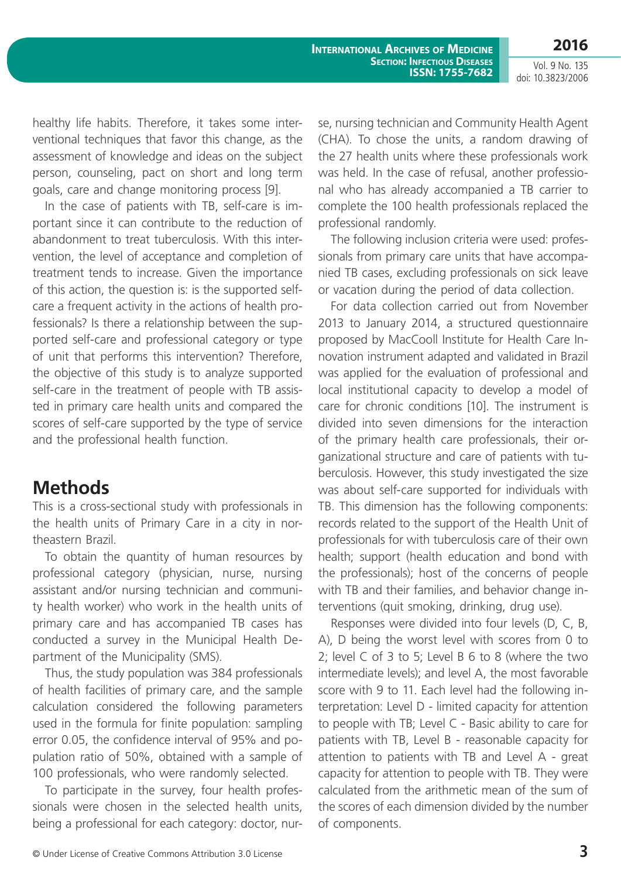**2016**

Vol. 9 No. 135 doi: 10.3823/2006

healthy life habits. Therefore, it takes some interventional techniques that favor this change, as the assessment of knowledge and ideas on the subject person, counseling, pact on short and long term goals, care and change monitoring process [9].

In the case of patients with TB, self-care is important since it can contribute to the reduction of abandonment to treat tuberculosis. With this intervention, the level of acceptance and completion of treatment tends to increase. Given the importance of this action, the question is: is the supported selfcare a frequent activity in the actions of health professionals? Is there a relationship between the supported self-care and professional category or type of unit that performs this intervention? Therefore, the objective of this study is to analyze supported self-care in the treatment of people with TB assisted in primary care health units and compared the scores of self-care supported by the type of service and the professional health function.

#### **Methods**

This is a cross-sectional study with professionals in the health units of Primary Care in a city in northeastern Brazil.

To obtain the quantity of human resources by professional category (physician, nurse, nursing assistant and/or nursing technician and community health worker) who work in the health units of primary care and has accompanied TB cases has conducted a survey in the Municipal Health Department of the Municipality (SMS).

Thus, the study population was 384 professionals of health facilities of primary care, and the sample calculation considered the following parameters used in the formula for finite population: sampling error 0.05, the confidence interval of 95% and population ratio of 50%, obtained with a sample of 100 professionals, who were randomly selected.

To participate in the survey, four health professionals were chosen in the selected health units, being a professional for each category: doctor, nurse, nursing technician and Community Health Agent (CHA). To chose the units, a random drawing of the 27 health units where these professionals work was held. In the case of refusal, another professional who has already accompanied a TB carrier to complete the 100 health professionals replaced the professional randomly.

The following inclusion criteria were used: professionals from primary care units that have accompanied TB cases, excluding professionals on sick leave or vacation during the period of data collection.

For data collection carried out from November 2013 to January 2014, a structured questionnaire proposed by MacCooll Institute for Health Care Innovation instrument adapted and validated in Brazil was applied for the evaluation of professional and local institutional capacity to develop a model of care for chronic conditions [10]. The instrument is divided into seven dimensions for the interaction of the primary health care professionals, their organizational structure and care of patients with tuberculosis. However, this study investigated the size was about self-care supported for individuals with TB. This dimension has the following components: records related to the support of the Health Unit of professionals for with tuberculosis care of their own health; support (health education and bond with the professionals); host of the concerns of people with TB and their families, and behavior change interventions (quit smoking, drinking, drug use).

Responses were divided into four levels (D, C, B, A), D being the worst level with scores from 0 to 2; level C of 3 to 5; Level B 6 to 8 (where the two intermediate levels); and level A, the most favorable score with 9 to 11. Each level had the following interpretation: Level D - limited capacity for attention to people with TB; Level C - Basic ability to care for patients with TB, Level B - reasonable capacity for attention to patients with TB and Level A - great capacity for attention to people with TB. They were calculated from the arithmetic mean of the sum of the scores of each dimension divided by the number of components.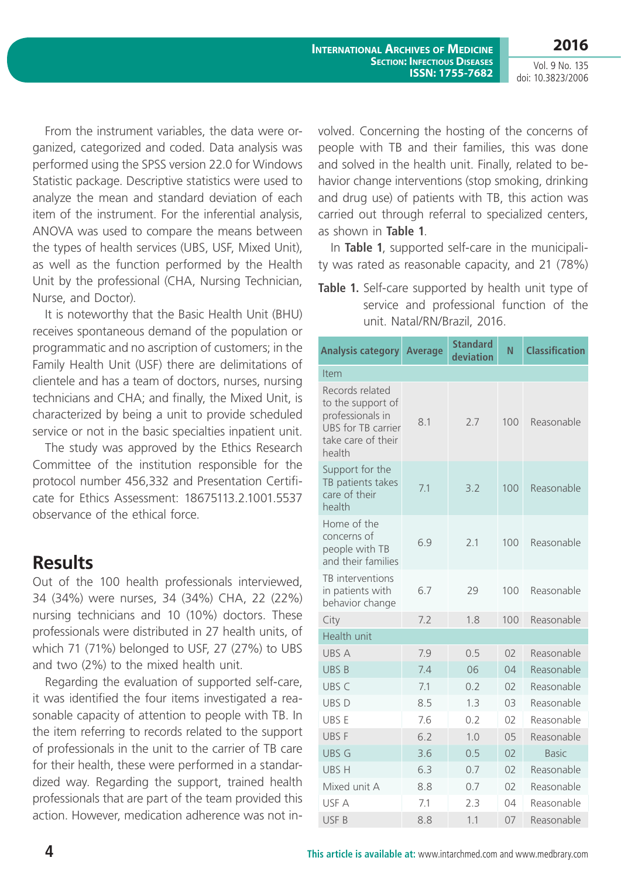**2016**

Vol. 9 No. 135 doi: 10.3823/2006

From the instrument variables, the data were organized, categorized and coded. Data analysis was performed using the SPSS version 22.0 for Windows Statistic package. Descriptive statistics were used to analyze the mean and standard deviation of each item of the instrument. For the inferential analysis, ANOVA was used to compare the means between the types of health services (UBS, USF, Mixed Unit), as well as the function performed by the Health Unit by the professional (CHA, Nursing Technician, Nurse, and Doctor).

It is noteworthy that the Basic Health Unit (BHU) receives spontaneous demand of the population or programmatic and no ascription of customers; in the Family Health Unit (USF) there are delimitations of clientele and has a team of doctors, nurses, nursing technicians and CHA; and finally, the Mixed Unit, is characterized by being a unit to provide scheduled service or not in the basic specialties inpatient unit.

The study was approved by the Ethics Research Committee of the institution responsible for the protocol number 456,332 and Presentation Certificate for Ethics Assessment: 18675113.2.1001.5537 observance of the ethical force.

#### **Results**

Out of the 100 health professionals interviewed, 34 (34%) were nurses, 34 (34%) CHA, 22 (22%) nursing technicians and 10 (10%) doctors. These professionals were distributed in 27 health units, of which 71 (71%) belonged to USF, 27 (27%) to UBS and two (2%) to the mixed health unit.

Regarding the evaluation of supported self-care, it was identified the four items investigated a reasonable capacity of attention to people with TB. In the item referring to records related to the support of professionals in the unit to the carrier of TB care for their health, these were performed in a standardized way. Regarding the support, trained health professionals that are part of the team provided this action. However, medication adherence was not involved. Concerning the hosting of the concerns of people with TB and their families, this was done and solved in the health unit. Finally, related to behavior change interventions (stop smoking, drinking and drug use) of patients with TB, this action was carried out through referral to specialized centers, as shown in **Table 1**.

In **Table 1**, supported self-care in the municipality was rated as reasonable capacity, and 21 (78%)

**Table 1.** Self-care supported by health unit type of service and professional function of the unit. Natal/RN/Brazil, 2016.

| <b>Analysis category</b>                                                                                              | <b>Average</b> | <b>Standard</b><br>deviation | N              | <b>Classification</b> |  |  |  |
|-----------------------------------------------------------------------------------------------------------------------|----------------|------------------------------|----------------|-----------------------|--|--|--|
| Item                                                                                                                  |                |                              |                |                       |  |  |  |
| Records related<br>to the support of<br>professionals in<br><b>UBS</b> for TB carrier<br>take care of their<br>health | 8.1            | 2.7                          | 100            | Reasonable            |  |  |  |
| Support for the<br>TB patients takes<br>care of their<br>health                                                       | 7.1            | 3.2                          | 100            | Reasonable            |  |  |  |
| Home of the<br>concerns of<br>people with TB<br>and their families                                                    | 6.9            | 2.1                          | 100            | Reasonable            |  |  |  |
| TB interventions<br>in patients with<br>behavior change                                                               | 6.7            | 29                           | 100            | Reasonable            |  |  |  |
| City                                                                                                                  | 7.2            | 1.8                          | 100            | Reasonable            |  |  |  |
| Health unit                                                                                                           |                |                              |                |                       |  |  |  |
| <b>UBS A</b>                                                                                                          | 7.9            | 0.5                          | O <sub>2</sub> | Reasonable            |  |  |  |
| <b>UBSB</b>                                                                                                           | 7.4            | 06                           | 04             | Reasonable            |  |  |  |
| UBS <sub>C</sub>                                                                                                      | 7.1            | 0.2                          | O <sub>2</sub> | Reasonable            |  |  |  |
| UBS D                                                                                                                 | 8.5            | 1.3                          | 03             | Reasonable            |  |  |  |
| UBS E                                                                                                                 | 7.6            | 0.2                          | O <sub>2</sub> | Reasonable            |  |  |  |
| UBS F                                                                                                                 | 6.2            | 1.0                          | 0 <sub>5</sub> | Reasonable            |  |  |  |
| <b>UBS G</b>                                                                                                          | 3.6            | 0.5                          | O <sub>2</sub> | <b>Basic</b>          |  |  |  |
| UBS H                                                                                                                 | 6.3            | 0.7                          | 02             | Reasonable            |  |  |  |
| Mixed unit A                                                                                                          | 8.8            | 0.7                          | O <sub>2</sub> | Reasonable            |  |  |  |
| USF A                                                                                                                 | 7.1            | 2.3                          | 04             | Reasonable            |  |  |  |
| USF <sub>B</sub>                                                                                                      | 8.8            | 1.1                          | 07             | Reasonable            |  |  |  |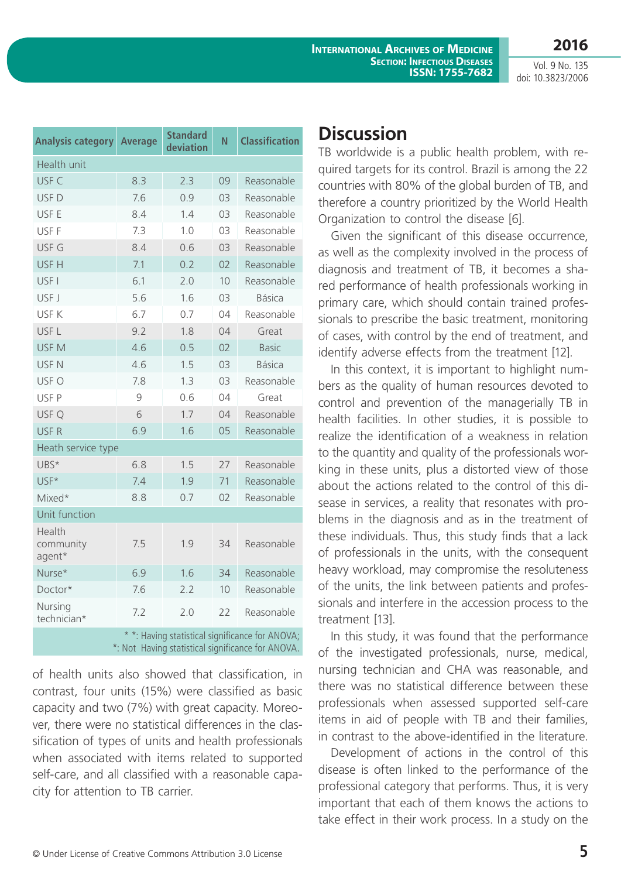**2016**

| <b>Analysis category</b>                                                                             | <b>Average</b> | <b>Standard</b><br>deviation | N  | <b>Classification</b> |  |  |
|------------------------------------------------------------------------------------------------------|----------------|------------------------------|----|-----------------------|--|--|
| Health unit                                                                                          |                |                              |    |                       |  |  |
| USF C                                                                                                | 8.3            | 2.3                          | 09 | Reasonable            |  |  |
| USF <sub>D</sub>                                                                                     | 7.6            | 0.9                          | 03 | Reasonable            |  |  |
| USF E                                                                                                | 8.4            | 1.4                          | 03 | Reasonable            |  |  |
| USF F                                                                                                | 7.3            | 1.0                          | 03 | Reasonable            |  |  |
| USF G                                                                                                | 8.4            | 0.6                          | 03 | Reasonable            |  |  |
| USF H                                                                                                | 7.1            | 0.2                          | 02 | Reasonable            |  |  |
| USF I                                                                                                | 6.1            | 2.0                          | 10 | Reasonable            |  |  |
| USF J                                                                                                | 5.6            | 1.6                          | 03 | <b>Básica</b>         |  |  |
| USF K                                                                                                | 6.7            | 0.7                          | 04 | Reasonable            |  |  |
| USF <sub>L</sub>                                                                                     | 9.2            | 1.8                          | 04 | Great                 |  |  |
| USF <sub>M</sub>                                                                                     | 4.6            | 0.5                          | 02 | <b>Basic</b>          |  |  |
| USF <sub>N</sub>                                                                                     | 4.6            | 1.5                          | 03 | <b>Básica</b>         |  |  |
| USF O                                                                                                | 7.8            | 1.3                          | 03 | Reasonable            |  |  |
| USF P                                                                                                | 9              | 0.6                          | 04 | Great                 |  |  |
| USF Q                                                                                                | 6              | 1.7                          | 04 | Reasonable            |  |  |
| USF <sub>R</sub>                                                                                     | 6.9            | 1.6                          | 05 | Reasonable            |  |  |
| Heath service type                                                                                   |                |                              |    |                       |  |  |
| UBS*                                                                                                 | 6.8            | 1.5                          | 27 | Reasonable            |  |  |
| USF*                                                                                                 | 7.4            | 1.9                          | 71 | Reasonable            |  |  |
| Mixed*                                                                                               | 8.8            | 0.7                          | 02 | Reasonable            |  |  |
| Unit function                                                                                        |                |                              |    |                       |  |  |
| Health<br>community<br>agent*                                                                        | 7.5            | 1.9                          | 34 | Reasonable            |  |  |
| Nurse*                                                                                               | 6.9            | 1.6                          | 34 | Reasonable            |  |  |
| Doctor*                                                                                              | 7.6            | 2.2                          | 10 | Reasonable            |  |  |
| Nursing<br>technician*                                                                               | 7.2            | 2.0                          | 22 | Reasonable            |  |  |
| * *: Having statistical significance for ANOVA;<br>*: Not Having statistical significance for ANOVA. |                |                              |    |                       |  |  |

of health units also showed that classification, in contrast, four units (15%) were classified as basic capacity and two (7%) with great capacity. Moreover, there were no statistical differences in the classification of types of units and health professionals when associated with items related to supported self-care, and all classified with a reasonable capacity for attention to TB carrier.

### **Discussion**

TB worldwide is a public health problem, with required targets for its control. Brazil is among the 22 countries with 80% of the global burden of TB, and therefore a country prioritized by the World Health Organization to control the disease [6].

Given the significant of this disease occurrence, as well as the complexity involved in the process of diagnosis and treatment of TB, it becomes a shared performance of health professionals working in primary care, which should contain trained professionals to prescribe the basic treatment, monitoring of cases, with control by the end of treatment, and identify adverse effects from the treatment [12].

In this context, it is important to highlight numbers as the quality of human resources devoted to control and prevention of the managerially TB in health facilities. In other studies, it is possible to realize the identification of a weakness in relation to the quantity and quality of the professionals working in these units, plus a distorted view of those about the actions related to the control of this disease in services, a reality that resonates with problems in the diagnosis and as in the treatment of these individuals. Thus, this study finds that a lack of professionals in the units, with the consequent heavy workload, may compromise the resoluteness of the units, the link between patients and professionals and interfere in the accession process to the treatment [13].

In this study, it was found that the performance of the investigated professionals, nurse, medical, nursing technician and CHA was reasonable, and there was no statistical difference between these professionals when assessed supported self-care items in aid of people with TB and their families, in contrast to the above-identified in the literature.

Development of actions in the control of this disease is often linked to the performance of the professional category that performs. Thus, it is very important that each of them knows the actions to take effect in their work process. In a study on the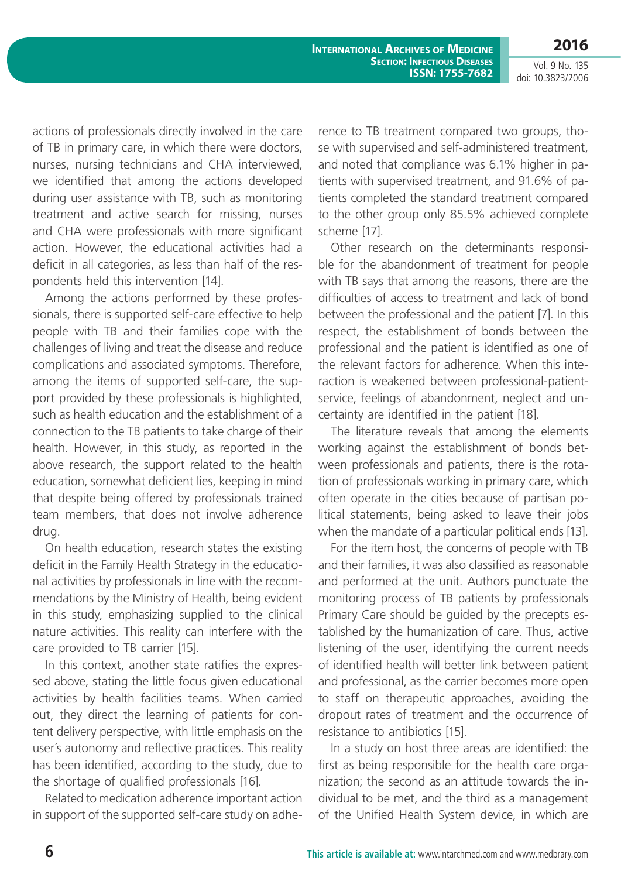**International Archives of Medicine Section: Infectious Diseases ISSN: 1755-7682**

Vol. 9 No. 135 doi: 10.3823/2006

**2016**

actions of professionals directly involved in the care of TB in primary care, in which there were doctors, nurses, nursing technicians and CHA interviewed, we identified that among the actions developed during user assistance with TB, such as monitoring treatment and active search for missing, nurses and CHA were professionals with more significant action. However, the educational activities had a deficit in all categories, as less than half of the respondents held this intervention [14].

Among the actions performed by these professionals, there is supported self-care effective to help people with TB and their families cope with the challenges of living and treat the disease and reduce complications and associated symptoms. Therefore, among the items of supported self-care, the support provided by these professionals is highlighted, such as health education and the establishment of a connection to the TB patients to take charge of their health. However, in this study, as reported in the above research, the support related to the health education, somewhat deficient lies, keeping in mind that despite being offered by professionals trained team members, that does not involve adherence drug.

On health education, research states the existing deficit in the Family Health Strategy in the educational activities by professionals in line with the recommendations by the Ministry of Health, being evident in this study, emphasizing supplied to the clinical nature activities. This reality can interfere with the care provided to TB carrier [15].

In this context, another state ratifies the expressed above, stating the little focus given educational activities by health facilities teams. When carried out, they direct the learning of patients for content delivery perspective, with little emphasis on the user´s autonomy and reflective practices. This reality has been identified, according to the study, due to the shortage of qualified professionals [16].

Related to medication adherence important action in support of the supported self-care study on adherence to TB treatment compared two groups, those with supervised and self-administered treatment, and noted that compliance was 6.1% higher in patients with supervised treatment, and 91.6% of patients completed the standard treatment compared to the other group only 85.5% achieved complete scheme [17].

Other research on the determinants responsible for the abandonment of treatment for people with TB says that among the reasons, there are the difficulties of access to treatment and lack of bond between the professional and the patient [7]. In this respect, the establishment of bonds between the professional and the patient is identified as one of the relevant factors for adherence. When this interaction is weakened between professional-patientservice, feelings of abandonment, neglect and uncertainty are identified in the patient [18].

The literature reveals that among the elements working against the establishment of bonds between professionals and patients, there is the rotation of professionals working in primary care, which often operate in the cities because of partisan political statements, being asked to leave their jobs when the mandate of a particular political ends [13].

For the item host, the concerns of people with TB and their families, it was also classified as reasonable and performed at the unit. Authors punctuate the monitoring process of TB patients by professionals Primary Care should be guided by the precepts established by the humanization of care. Thus, active listening of the user, identifying the current needs of identified health will better link between patient and professional, as the carrier becomes more open to staff on therapeutic approaches, avoiding the dropout rates of treatment and the occurrence of resistance to antibiotics [15].

In a study on host three areas are identified: the first as being responsible for the health care organization; the second as an attitude towards the individual to be met, and the third as a management of the Unified Health System device, in which are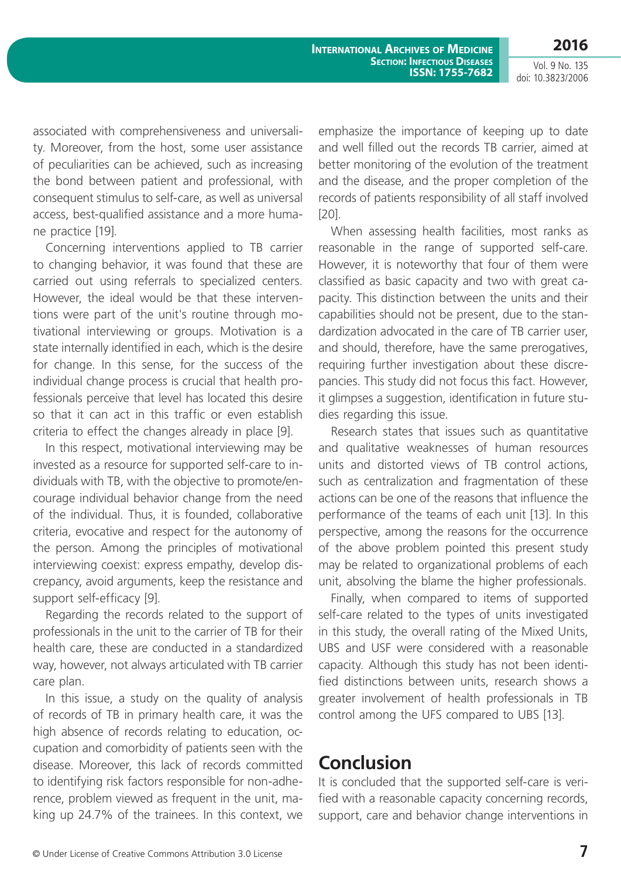associated with comprehensiveness and universality. Moreover, from the host, some user assistance of peculiarities can be achieved, such as increasing the bond between patient and professional, with consequent stimulus to self-care, as well as universal access, best-qualified assistance and a more humane practice [19].

Concerning interventions applied to TB carrier to changing behavior, it was found that these are carried out using referrals to specialized centers. However, the ideal would be that these interventions were part of the unit's routine through motivational interviewing or groups. Motivation is a state internally identified in each, which is the desire for change. In this sense, for the success of the individual change process is crucial that health professionals perceive that level has located this desire so that it can act in this traffic or even establish criteria to effect the changes already in place [9].

In this respect, motivational interviewing may be invested as a resource for supported self-care to individuals with TB, with the objective to promote/encourage individual behavior change from the need of the individual. Thus, it is founded, collaborative criteria, evocative and respect for the autonomy of the person. Among the principles of motivational interviewing coexist: express empathy, develop discrepancy, avoid arguments, keep the resistance and support self-efficacy [9].

Regarding the records related to the support of professionals in the unit to the carrier of TB for their health care, these are conducted in a standardized way, however, not always articulated with TB carrier care plan.

In this issue, a study on the quality of analysis of records of TB in primary health care, it was the high absence of records relating to education, occupation and comorbidity of patients seen with the disease. Moreover, this lack of records committed to identifying risk factors responsible for non-adherence, problem viewed as frequent in the unit, making up 24.7% of the trainees. In this context, we

emphasize the importance of keeping up to date and well filled out the records TB carrier, aimed at better monitoring of the evolution of the treatment and the disease, and the proper completion of the records of patients responsibility of all staff involved [20].

When assessing health facilities, most ranks as reasonable in the range of supported self-care. However, it is noteworthy that four of them were classified as basic capacity and two with great capacity. This distinction between the units and their capabilities should not be present, due to the standardization advocated in the care of TB carrier user, and should, therefore, have the same prerogatives, requiring further investigation about these discrepancies. This study did not focus this fact. However, it glimpses a suggestion, identification in future studies regarding this issue.

Research states that issues such as quantitative and qualitative weaknesses of human resources units and distorted views of TB control actions, such as centralization and fragmentation of these actions can be one of the reasons that influence the performance of the teams of each unit [13]. In this perspective, among the reasons for the occurrence of the above problem pointed this present study may be related to organizational problems of each unit, absolving the blame the higher professionals.

Finally, when compared to items of supported self-care related to the types of units investigated in this study, the overall rating of the Mixed Units, UBS and USF were considered with a reasonable capacity. Although this study has not been identified distinctions between units, research shows a greater involvement of health professionals in TB control among the UFS compared to UBS [13].

### **Conclusion**

It is concluded that the supported self-care is verified with a reasonable capacity concerning records, support, care and behavior change interventions in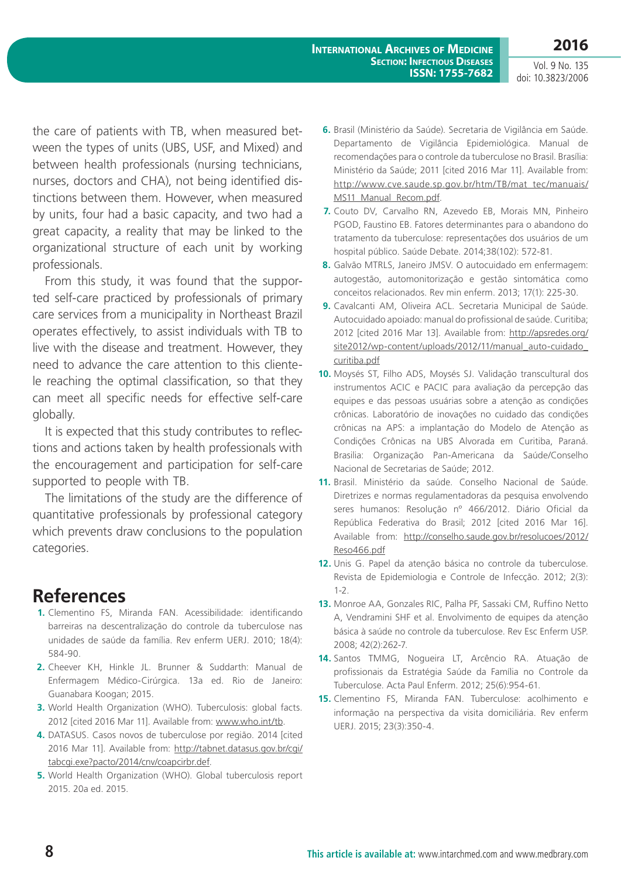the care of patients with TB, when measured between the types of units (UBS, USF, and Mixed) and between health professionals (nursing technicians, nurses, doctors and CHA), not being identified distinctions between them. However, when measured by units, four had a basic capacity, and two had a great capacity, a reality that may be linked to the organizational structure of each unit by working professionals.

From this study, it was found that the supported self-care practiced by professionals of primary care services from a municipality in Northeast Brazil operates effectively, to assist individuals with TB to live with the disease and treatment. However, they need to advance the care attention to this clientele reaching the optimal classification, so that they can meet all specific needs for effective self-care globally.

It is expected that this study contributes to reflections and actions taken by health professionals with the encouragement and participation for self-care supported to people with TB.

The limitations of the study are the difference of quantitative professionals by professional category which prevents draw conclusions to the population categories.

#### **References**

- **1.** Clementino FS, Miranda FAN. Acessibilidade: identificando barreiras na descentralização do controle da tuberculose nas unidades de saúde da família. Rev enferm UERJ. 2010; 18(4): 584-90.
- **2.** Cheever KH, Hinkle JL. Brunner & Suddarth: Manual de Enfermagem Médico-Cirúrgica. 13a ed. Rio de Janeiro: Guanabara Koogan; 2015.
- **3.** World Health Organization (WHO). Tuberculosis: global facts. 2012 [cited 2016 Mar 11]. Available from: [www.who.int/tb](http://www.who.int/tb).
- **4.** DATASUS. Casos novos de tuberculose por região. 2014 [cited 2016 Mar 11]. Available from: [http://tabnet.datasus.gov.br/cgi/](http://tabnet.datasus.gov.br/cgi/tabcgi.exe?pacto/2014/cnv/coapcirbr.def) [tabcgi.exe?pacto/2014/cnv/coapcirbr.def.](http://tabnet.datasus.gov.br/cgi/tabcgi.exe?pacto/2014/cnv/coapcirbr.def)
- **5.** World Health Organization (WHO). Global tuberculosis report 2015. 20a ed. 2015.
- **6.** Brasil (Ministério da Saúde). Secretaria de Vigilância em Saúde. Departamento de Vigilância Epidemiológica. Manual de recomendações para o controle da tuberculose no Brasil. Brasília: Ministério da Saúde; 2011 [cited 2016 Mar 11]. Available from: [http://www.cve.saude.sp.gov.br/htm/TB/mat\\_tec/manuais/](http://www.cve.saude.sp.gov.br/htm/TB/mat_tec/manuais/MS11_Manual_Recom.pdf) [MS11\\_Manual\\_Recom.pdf](http://www.cve.saude.sp.gov.br/htm/TB/mat_tec/manuais/MS11_Manual_Recom.pdf).
- **7.** Couto DV, Carvalho RN, Azevedo EB, Morais MN, Pinheiro PGOD, Faustino EB. Fatores determinantes para o abandono do tratamento da tuberculose: representações dos usuários de um hospital público. Saúde Debate. 2014;38(102): 572-81.
- **8.** Galvão MTRLS, Janeiro JMSV. O autocuidado em enfermagem: autogestão, automonitorização e gestão sintomática como conceitos relacionados. Rev min enferm. 2013; 17(1): 225-30.
- **9.** Cavalcanti AM, Oliveira ACL. Secretaria Municipal de Saúde. Autocuidado apoiado: manual do profissional de saúde. Curitiba; 2012 [cited 2016 Mar 13]. Available from: [http://apsredes.org/](http://apsredes.org/site2012/wp-content/uploads/2012/11/manual_auto-cuidado_curitiba.pdf) [site2012/wp-content/uploads/2012/11/manual\\_auto-cuidado\\_](http://apsredes.org/site2012/wp-content/uploads/2012/11/manual_auto-cuidado_curitiba.pdf) [curitiba.pdf](http://apsredes.org/site2012/wp-content/uploads/2012/11/manual_auto-cuidado_curitiba.pdf)
- **10.** Moysés ST, Filho ADS, Moysés SJ. Validação transcultural dos instrumentos ACIC e PACIC para avaliação da percepção das equipes e das pessoas usuárias sobre a atenção as condições crônicas. Laboratório de inovações no cuidado das condições crônicas na APS: a implantação do Modelo de Atenção as Condições Crônicas na UBS Alvorada em Curitiba, Paraná. Brasilia: Organização Pan-Americana da Saúde/Conselho Nacional de Secretarias de Saúde; 2012.
- **11.** Brasil. Ministério da saúde. Conselho Nacional de Saúde. Diretrizes e normas regulamentadoras da pesquisa envolvendo seres humanos: Resolução nº 466/2012. Diário Oficial da República Federativa do Brasil; 2012 [cited 2016 Mar 16]. Available from: [http://conselho.saude.gov.br/resolucoes/2012/](http://conselho.saude.gov.br/resolucoes/2012/Reso466.pdf) [Reso466.pdf](http://conselho.saude.gov.br/resolucoes/2012/Reso466.pdf)
- **12.** Unis G. Papel da atenção básica no controle da tuberculose. Revista de Epidemiologia e Controle de Infecção. 2012; 2(3): 1-2.
- **13.** Monroe AA, Gonzales RIC, Palha PF, Sassaki CM, Ruffino Netto A, Vendramini SHF et al. Envolvimento de equipes da atenção básica à saúde no controle da tuberculose. Rev Esc Enferm USP. 2008; 42(2):262-7.
- **14.** Santos TMMG, Nogueira LT, Arcêncio RA. Atuação de profissionais da Estratégia Saúde da Família no Controle da Tuberculose. Acta Paul Enferm. 2012; 25(6):954-61.
- **15.** Clementino FS, Miranda FAN. Tuberculose: acolhimento e informação na perspectiva da visita domiciliária. Rev enferm UERJ. 2015; 23(3):350-4.